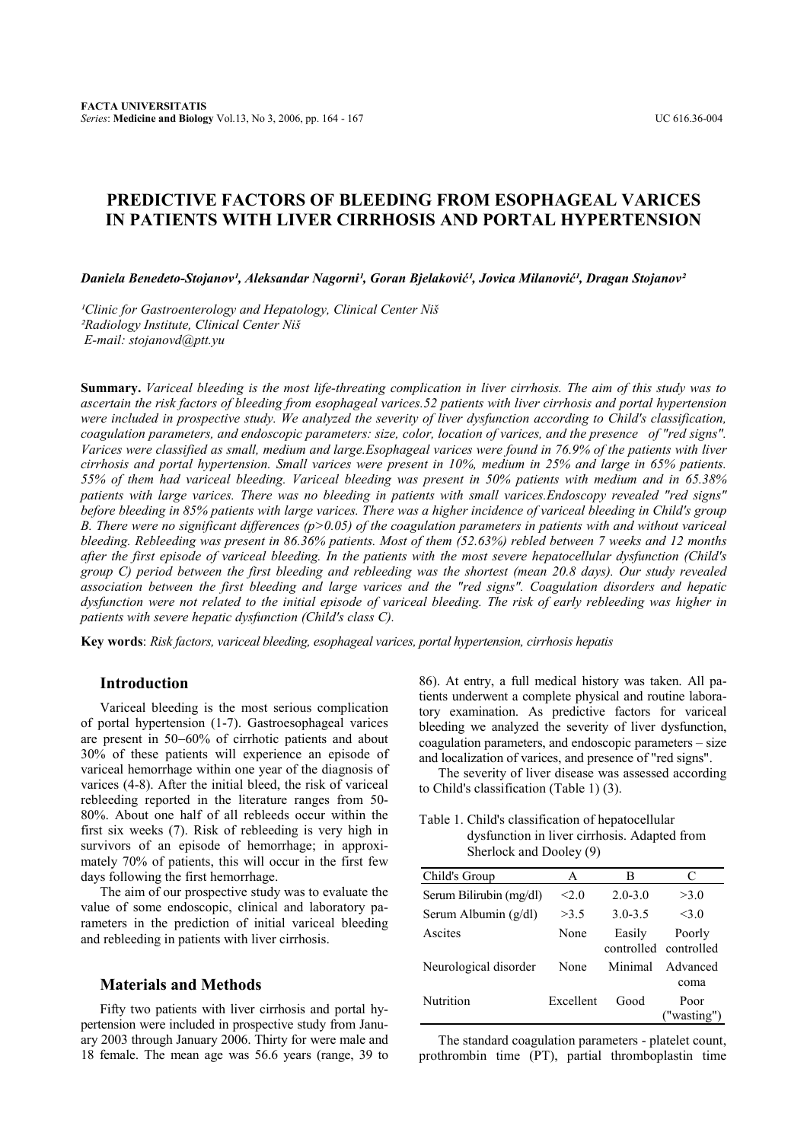# **PREDICTIVE FACTORS OF BLEEDING FROM ESOPHAGEAL VARICES IN PATIENTS WITH LIVER CIRRHOSIS AND PORTAL HYPERTENSION**

*Daniela Benedeto-Stojanov<sup>1</sup>, Aleksandar Nagorni<sup>1</sup>, Goran Bielaković<sup>1</sup>, Jovica Milanović<sup>1</sup>, Dragan Stojanov<sup>2</sup>* 

<sup>1</sup>Clinic for Gastroenterology and Hepatology, Clinical Center Niš *²Radiology Institute, Clinical Center Niš E-mail: stojanovd@ptt.yu* 

**Summary.** *Variceal bleeding is the most life-threating complication in liver cirrhosis. The aim of this study was to ascertain the risk factors of bleeding from esophageal varices.52 patients with liver cirrhosis and portal hypertension were included in prospective study. We analyzed the severity of liver dysfunction according to Child's classification, coagulation parameters, and endoscopic parameters: size, color, location of varices, and the presence of "red signs". Varices were classified as small, medium and large.Esophageal varices were found in 76.9% of the patients with liver cirrhosis and portal hypertension. Small varices were present in 10%, medium in 25% and large in 65% patients. 55% of them had variceal bleeding. Variceal bleeding was present in 50% patients with medium and in 65.38% patients with large varices. There was no bleeding in patients with small varices.Endoscopy revealed "red signs" before bleeding in 85% patients with large varices. There was a higher incidence of variceal bleeding in Child's group B. There were no significant differences (p>0.05) of the coagulation parameters in patients with and without variceal bleeding. Rebleeding was present in 86.36% patients. Most of them (52.63%) rebled between 7 weeks and 12 months after the first episode of variceal bleeding. In the patients with the most severe hepatocellular dysfunction (Child's group C) period between the first bleeding and rebleeding was the shortest (mean 20.8 days). Our study revealed association between the first bleeding and large varices and the "red signs". Coagulation disorders and hepatic dysfunction were not related to the initial episode of variceal bleeding. The risk of early rebleeding was higher in patients with severe hepatic dysfunction (Child's class C).* 

**Key words**: *Risk factors, variceal bleeding, esophageal varices, portal hypertension, cirrhosis hepatis* 

## **Introduction**

Variceal bleeding is the most serious complication of portal hypertension (1-7). Gastroesophageal varices are present in 50−60% of cirrhotic patients and about 30% of these patients will experience an episode of variceal hemorrhage within one year of the diagnosis of varices (4-8). After the initial bleed, the risk of variceal rebleeding reported in the literature ranges from 50- 80%. About one half of all rebleeds occur within the first six weeks (7). Risk of rebleeding is very high in survivors of an episode of hemorrhage; in approximately 70% of patients, this will occur in the first few days following the first hemorrhage.

The aim of our prospective study was to evaluate the value of some endoscopic, clinical and laboratory parameters in the prediction of initial variceal bleeding and rebleeding in patients with liver cirrhosis.

## **Materials and Methods**

Fifty two patients with liver cirrhosis and portal hypertension were included in prospective study from January 2003 through January 2006. Thirty for were male and 18 female. The mean age was 56.6 years (range, 39 to

86). At entry, a full medical history was taken. All patients underwent a complete physical and routine laboratory examination. As predictive factors for variceal bleeding we analyzed the severity of liver dysfunction, coagulation parameters, and endoscopic parameters – size and localization of varices, and presence of "red signs".

The severity of liver disease was assessed according to Child's classification (Table 1) (3).

Table 1. Child's classification of hepatocellular dysfunction in liver cirrhosis. Adapted from Sherlock and Dooley (9)

| Child's Group           | A         | в           | C                               |
|-------------------------|-----------|-------------|---------------------------------|
| Serum Bilirubin (mg/dl) | < 2.0     | $2.0 - 3.0$ | >3.0                            |
| Serum Albumin (g/dl)    | >3.5      | $3.0 - 3.5$ | 3.0                             |
| Ascites                 | None      | Easily      | Poorly<br>controlled controlled |
| Neurological disorder   | None      | Minimal     | Advanced<br>coma                |
| Nutrition               | Excellent | Good        | Poor<br>("wasting")             |

The standard coagulation parameters - platelet count, prothrombin time (PT), partial thromboplastin time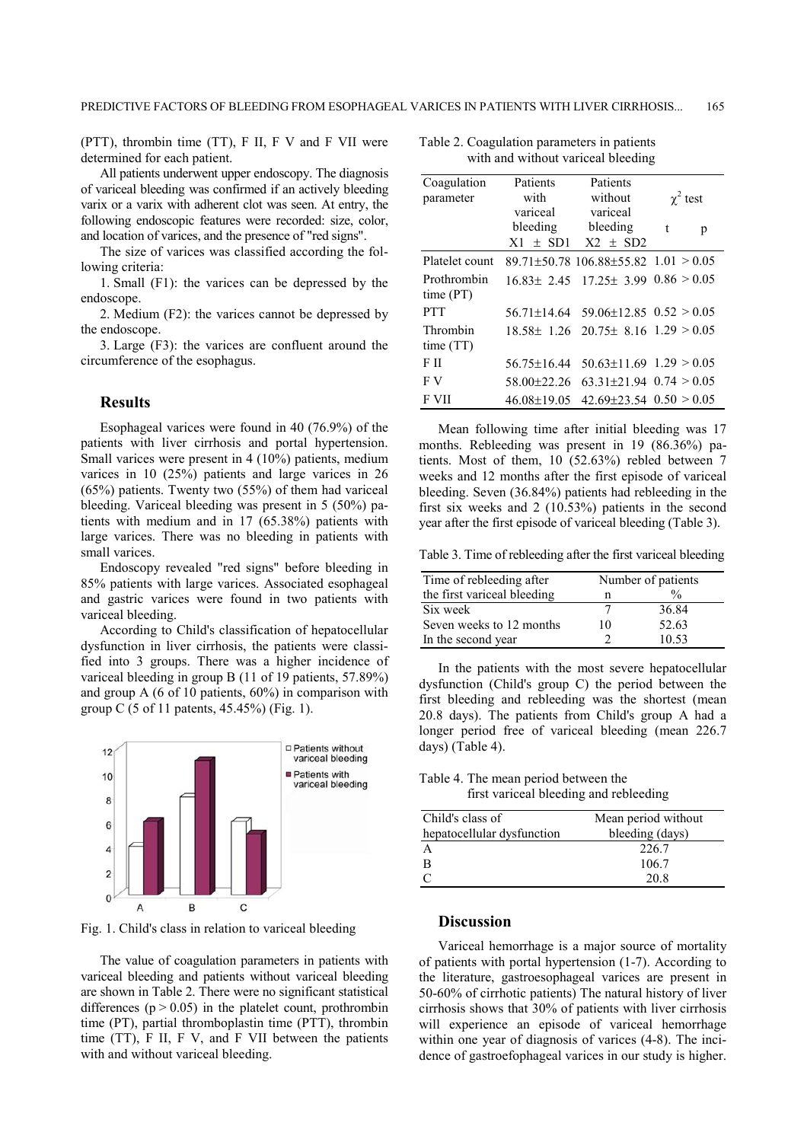(PTT), thrombin time (TT), F II, F V and F VII were determined for each patient.

All patients underwent upper endoscopy. The diagnosis of variceal bleeding was confirmed if an actively bleeding varix or a varix with adherent clot was seen. At entry, the following endoscopic features were recorded: size, color, and location of varices, and the presence of "red signs".

The size of varices was classified according the following criteria:

1. Small (F1): the varices can be depressed by the endoscope.

2. Medium (F2): the varices cannot be depressed by the endoscope.

3. Large (F3): the varices are confluent around the circumference of the esophagus.

#### **Results**

Esophageal varices were found in 40 (76.9%) of the patients with liver cirrhosis and portal hypertension. Small varices were present in 4 (10%) patients, medium varices in 10 (25%) patients and large varices in 26 (65%) patients. Twenty two (55%) of them had variceal bleeding. Variceal bleeding was present in 5 (50%) patients with medium and in 17 (65.38%) patients with large varices. There was no bleeding in patients with small varices.

Endoscopy revealed "red signs" before bleeding in 85% patients with large varices. Associated esophageal and gastric varices were found in two patients with variceal bleeding.

According to Child's classification of hepatocellular dysfunction in liver cirrhosis, the patients were classified into 3 groups. There was a higher incidence of variceal bleeding in group B (11 of 19 patients, 57.89%) and group A (6 of 10 patients, 60%) in comparison with group C (5 of 11 patents, 45.45%) (Fig. 1).



Fig. 1. Child's class in relation to variceal bleeding

The value of coagulation parameters in patients with variceal bleeding and patients without variceal bleeding are shown in Table 2. There were no significant statistical differences ( $p > 0.05$ ) in the platelet count, prothrombin time (PT), partial thromboplastin time (PTT), thrombin time (TT), F II, F V, and F VII between the patients with and without variceal bleeding.

Table 2. Coagulation parameters in patients with and without variceal bleeding

| Coagulation    | Patients          | Patients                                          |               |  |
|----------------|-------------------|---------------------------------------------------|---------------|--|
| parameter      | with              | without                                           | $\chi^2$ test |  |
|                | variceal          | variceal                                          |               |  |
|                | bleeding          | bleeding                                          | t<br>p        |  |
|                | $X1 \pm SD1$      | $X2 \pm SD2$                                      |               |  |
| Platelet count |                   | 89.71±50.78 106.88±55.82 $1.01 > 0.05$            |               |  |
| Prothrombin    |                   | $16.83 \pm 2.45$ 17.25 $\pm$ 3.99 0.86 > 0.05     |               |  |
| time (PT)      |                   |                                                   |               |  |
| <b>PTT</b>     |                   | $56.71 \pm 14.64$ $59.06 \pm 12.85$ $0.52 > 0.05$ |               |  |
| Thrombin       |                   | $18.58 \pm 1.26$ 20.75 $\pm 8.16$ 1.29 $> 0.05$   |               |  |
| time(TT)       |                   |                                                   |               |  |
| FП             | $56.75 \pm 16.44$ | $50.63 \pm 11.69$ $1.29 > 0.05$                   |               |  |
| F V            | 58.00±22.26       | $63.31 \pm 21.94$ $0.74 > 0.05$                   |               |  |
| F VII          | 46.08±19.05       | $42.69 \pm 23.54$ $0.50 > 0.05$                   |               |  |

Mean following time after initial bleeding was 17 months. Rebleeding was present in 19 (86.36%) patients. Most of them, 10 (52.63%) rebled between 7 weeks and 12 months after the first episode of variceal bleeding. Seven (36.84%) patients had rebleeding in the first six weeks and 2 (10.53%) patients in the second year after the first episode of variceal bleeding (Table 3).

Table 3. Time of rebleeding after the first variceal bleeding

| Time of rebleeding after    |    | Number of patients |  |  |
|-----------------------------|----|--------------------|--|--|
| the first variceal bleeding | n  | $\frac{0}{0}$      |  |  |
| Six week                    |    | 36.84              |  |  |
| Seven weeks to 12 months    | 10 | 52.63              |  |  |
| In the second year          |    | 10.53              |  |  |

In the patients with the most severe hepatocellular dysfunction (Child's group C) the period between the first bleeding and rebleeding was the shortest (mean 20.8 days). The patients from Child's group A had a longer period free of variceal bleeding (mean 226.7 days) (Table 4).

Table 4. The mean period between the first variceal bleeding and rebleeding

| Child's class of           | Mean period without |  |  |  |
|----------------------------|---------------------|--|--|--|
| hepatocellular dysfunction | bleeding (days)     |  |  |  |
|                            | 226.7               |  |  |  |
| В                          | 106.7               |  |  |  |
|                            | 20.8                |  |  |  |

## **Discussion**

Variceal hemorrhage is a major source of mortality of patients with portal hypertension (1-7). According to the literature, gastroesophageal varices are present in 50-60% of cirrhotic patients) The natural history of liver cirrhosis shows that 30% of patients with liver cirrhosis will experience an episode of variceal hemorrhage within one year of diagnosis of varices (4-8). The incidence of gastroefophageal varices in our study is higher.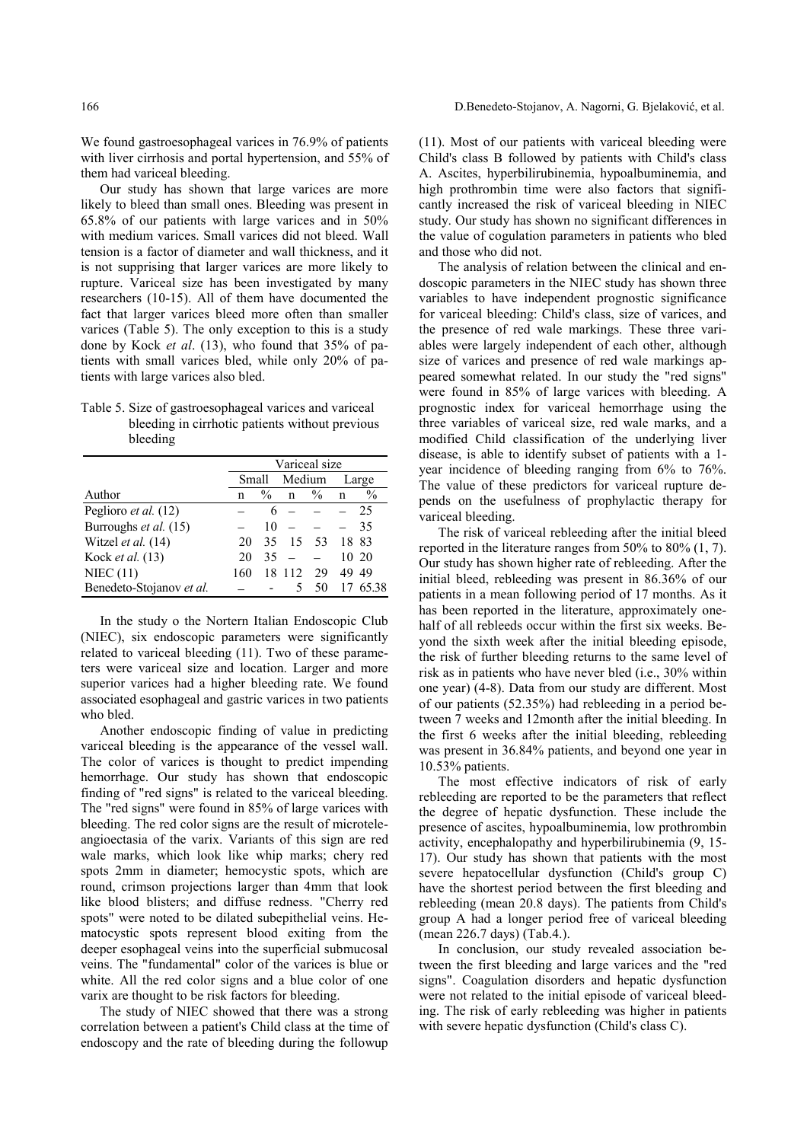We found gastroesophageal varices in 76.9% of patients with liver cirrhosis and portal hypertension, and 55% of them had variceal bleeding.

Our study has shown that large varices are more likely to bleed than small ones. Bleeding was present in 65.8% of our patients with large varices and in 50% with medium varices. Small varices did not bleed. Wall tension is a factor of diameter and wall thickness, and it is not supprising that larger varices are more likely to rupture. Variceal size has been investigated by many researchers (10-15). All of them have documented the fact that larger varices bleed more often than smaller varices (Table 5). The only exception to this is a study done by Kock *et al*. (13), who found that 35% of patients with small varices bled, while only 20% of patients with large varices also bled.

#### Table 5. Size of gastroesophageal varices and variceal bleeding in cirrhotic patients without previous bleeding

|                          | Variceal size |               |        |               |       |               |
|--------------------------|---------------|---------------|--------|---------------|-------|---------------|
|                          | Small         |               | Medium |               | Large |               |
| Author                   | n             | $\frac{0}{0}$ | n      | $\frac{0}{0}$ | n     | $\frac{0}{0}$ |
| Peglioro et al. (12)     |               |               |        |               |       | 25            |
| Burroughs et al. (15)    |               | 10            |        |               |       | 35            |
| Witzel et al. (14)       | 20            | 35            | 15     | -53           | 18 83 |               |
| Kock et al. (13)         | 20            | 35            |        |               |       | 10 20         |
| NIEC $(11)$              | 160           | 18            | 112    | 29            | 49    | 49            |
| Benedeto-Stojanov et al. |               |               |        | 50            |       | 6538          |

In the study o the Nortern Italian Endoscopic Club (NIEC), six endoscopic parameters were significantly related to variceal bleeding (11). Two of these parameters were variceal size and location. Larger and more superior varices had a higher bleeding rate. We found associated esophageal and gastric varices in two patients who bled.

Another endoscopic finding of value in predicting variceal bleeding is the appearance of the vessel wall. The color of varices is thought to predict impending hemorrhage. Our study has shown that endoscopic finding of "red signs" is related to the variceal bleeding. The "red signs" were found in 85% of large varices with bleeding. The red color signs are the result of microteleangioectasia of the varix. Variants of this sign are red wale marks, which look like whip marks; chery red spots 2mm in diameter; hemocystic spots, which are round, crimson projections larger than 4mm that look like blood blisters; and diffuse redness. "Cherry red spots" were noted to be dilated subepithelial veins. Hematocystic spots represent blood exiting from the deeper esophageal veins into the superficial submucosal veins. The "fundamental" color of the varices is blue or white. All the red color signs and a blue color of one varix are thought to be risk factors for bleeding.

The study of NIEC showed that there was a strong correlation between a patient's Child class at the time of endoscopy and the rate of bleeding during the followup

(11). Most of our patients with variceal bleeding were Child's class B followed by patients with Child's class A. Ascites, hyperbilirubinemia, hypoalbuminemia, and high prothrombin time were also factors that significantly increased the risk of variceal bleeding in NIEC study. Our study has shown no significant differences in the value of cogulation parameters in patients who bled and those who did not.

The analysis of relation between the clinical and endoscopic parameters in the NIEC study has shown three variables to have independent prognostic significance for variceal bleeding: Child's class, size of varices, and the presence of red wale markings. These three variables were largely independent of each other, although size of varices and presence of red wale markings appeared somewhat related. In our study the "red signs" were found in 85% of large varices with bleeding. A prognostic index for variceal hemorrhage using the three variables of variceal size, red wale marks, and a modified Child classification of the underlying liver disease, is able to identify subset of patients with a 1 year incidence of bleeding ranging from 6% to 76%. The value of these predictors for variceal rupture depends on the usefulness of prophylactic therapy for variceal bleeding.

The risk of variceal rebleeding after the initial bleed reported in the literature ranges from 50% to 80% (1, 7). Our study has shown higher rate of rebleeding. After the initial bleed, rebleeding was present in 86.36% of our patients in a mean following period of 17 months. As it has been reported in the literature, approximately onehalf of all rebleeds occur within the first six weeks. Beyond the sixth week after the initial bleeding episode, the risk of further bleeding returns to the same level of risk as in patients who have never bled (i.e., 30% within one year) (4-8). Data from our study are different. Most of our patients (52.35%) had rebleeding in a period between 7 weeks and 12month after the initial bleeding. In the first 6 weeks after the initial bleeding, rebleeding was present in 36.84% patients, and beyond one year in 10.53% patients.

The most effective indicators of risk of early rebleeding are reported to be the parameters that reflect the degree of hepatic dysfunction. These include the presence of ascites, hypoalbuminemia, low prothrombin activity, encephalopathy and hyperbilirubinemia (9, 15- 17). Our study has shown that patients with the most severe hepatocellular dysfunction (Child's group C) have the shortest period between the first bleeding and rebleeding (mean 20.8 days). The patients from Child's group A had a longer period free of variceal bleeding (mean 226.7 days) (Tab.4.).

In conclusion, our study revealed association between the first bleeding and large varices and the "red signs". Coagulation disorders and hepatic dysfunction were not related to the initial episode of variceal bleeding. The risk of early rebleeding was higher in patients with severe hepatic dysfunction (Child's class C).